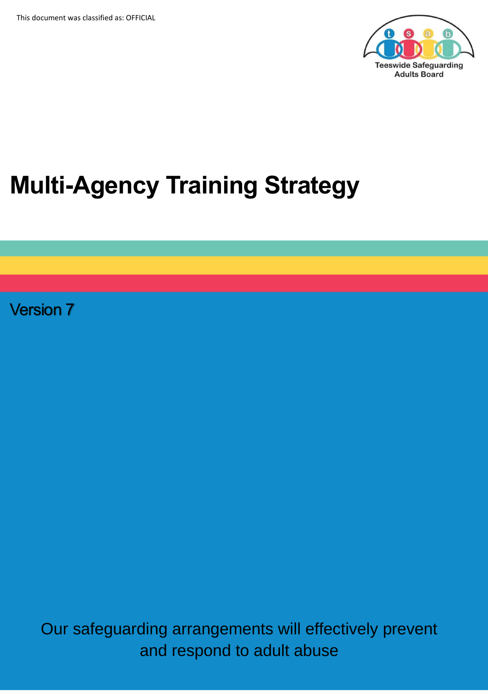

# **Multi-Agency Training Strategy**

Version 7

Our safeguarding arrangements will effectively prevent and respond to adult abuse

 $\mathcal{O}_\mathcal{A}$  arrangements will effect in a range ments will effect in a range  $\mathcal{O}_\mathcal{A}$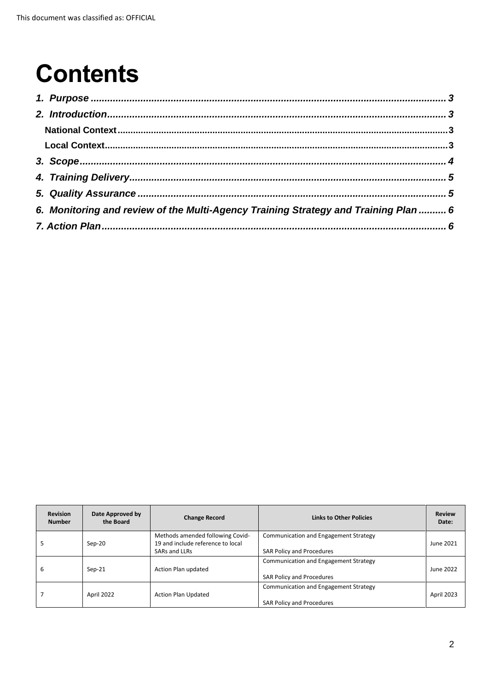## **Contents**

| 6. Monitoring and review of the Multi-Agency Training Strategy and Training Plan  6 |  |
|-------------------------------------------------------------------------------------|--|
|                                                                                     |  |

| <b>Revision</b><br><b>Number</b> | Date Approved by<br>the Board | <b>Change Record</b>                                                  | <b>Links to Other Policies</b>               | <b>Review</b><br>Date: |
|----------------------------------|-------------------------------|-----------------------------------------------------------------------|----------------------------------------------|------------------------|
|                                  | $Sep-20$                      | Methods amended following Covid-<br>19 and include reference to local | <b>Communication and Engagement Strategy</b> | June 2021              |
|                                  |                               | SARs and LLRs                                                         | <b>SAR Policy and Procedures</b>             |                        |
| b                                | $Sep-21$                      | Action Plan updated                                                   | Communication and Engagement Strategy        | June 2022              |
|                                  |                               |                                                                       | <b>SAR Policy and Procedures</b>             |                        |
|                                  |                               |                                                                       | Communication and Engagement Strategy        |                        |
|                                  | April 2022                    | <b>Action Plan Updated</b>                                            | <b>SAR Policy and Procedures</b>             | April 2023             |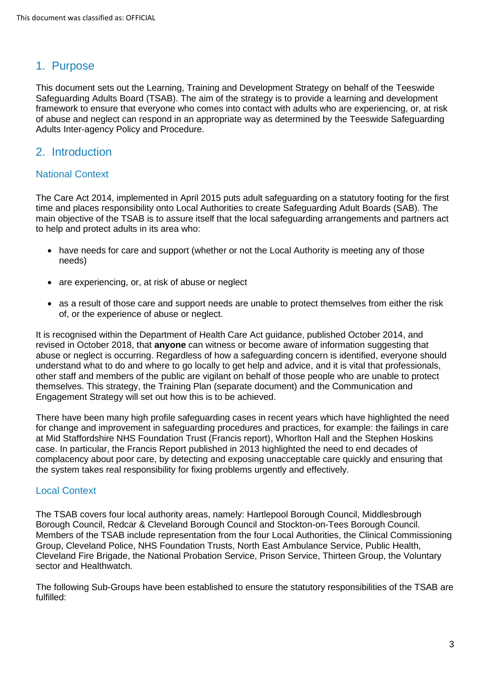#### <span id="page-2-0"></span>1. Purpose

This document sets out the Learning, Training and Development Strategy on behalf of the Teeswide Safeguarding Adults Board (TSAB). The aim of the strategy is to provide a learning and development framework to ensure that everyone who comes into contact with adults who are experiencing, or, at risk of abuse and neglect can respond in an appropriate way as determined by the Teeswide Safeguarding Adults Inter-agency Policy and Procedure.

#### <span id="page-2-1"></span>2. Introduction

#### <span id="page-2-2"></span>National Context

The Care Act 2014, implemented in April 2015 puts adult safeguarding on a statutory footing for the first time and places responsibility onto Local Authorities to create Safeguarding Adult Boards (SAB). The main objective of the TSAB is to assure itself that the local safeguarding arrangements and partners act to help and protect adults in its area who:

- have needs for care and support (whether or not the Local Authority is meeting any of those needs)
- are experiencing, or, at risk of abuse or neglect
- as a result of those care and support needs are unable to protect themselves from either the risk of, or the experience of abuse or neglect.

It is recognised within the Department of Health Care Act guidance, published October 2014, and revised in October 2018, that **anyone** can witness or become aware of information suggesting that abuse or neglect is occurring. Regardless of how a safeguarding concern is identified, everyone should understand what to do and where to go locally to get help and advice, and it is vital that professionals, other staff and members of the public are vigilant on behalf of those people who are unable to protect themselves. This strategy, the Training Plan (separate document) and the Communication and Engagement Strategy will set out how this is to be achieved.

There have been many high profile safeguarding cases in recent years which have highlighted the need for change and improvement in safeguarding procedures and practices, for example: the failings in care at Mid Staffordshire NHS Foundation Trust (Francis report), Whorlton Hall and the Stephen Hoskins case. In particular, the Francis Report published in 2013 highlighted the need to end decades of complacency about poor care, by detecting and exposing unacceptable care quickly and ensuring that the system takes real responsibility for fixing problems urgently and effectively.

#### <span id="page-2-3"></span>Local Context

The TSAB covers four local authority areas, namely: Hartlepool Borough Council, Middlesbrough Borough Council, Redcar & Cleveland Borough Council and Stockton-on-Tees Borough Council. Members of the TSAB include representation from the four Local Authorities, the Clinical Commissioning Group, Cleveland Police, NHS Foundation Trusts, North East Ambulance Service, Public Health, Cleveland Fire Brigade, the National Probation Service, Prison Service, Thirteen Group, the Voluntary sector and Healthwatch.

The following Sub-Groups have been established to ensure the statutory responsibilities of the TSAB are fulfilled: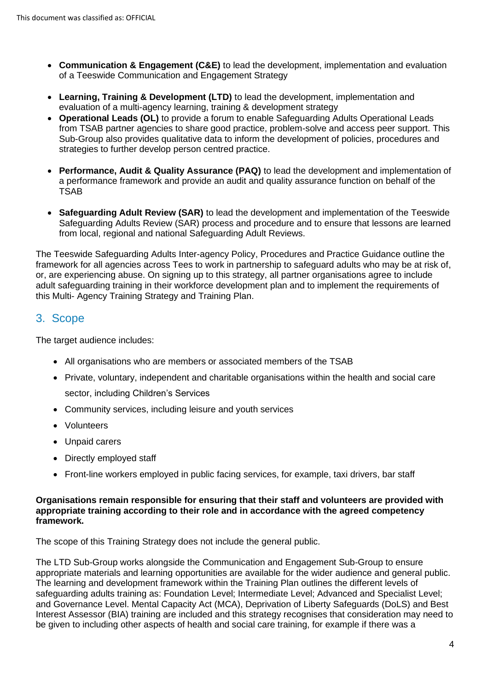- **Communication & Engagement (C&E)** to lead the development, implementation and evaluation of a Teeswide Communication and Engagement Strategy
- **Learning, Training & Development (LTD)** to lead the development, implementation and evaluation of a multi-agency learning, training & development strategy
- **Operational Leads (OL)** to provide a forum to enable Safeguarding Adults Operational Leads from TSAB partner agencies to share good practice, problem-solve and access peer support. This Sub-Group also provides qualitative data to inform the development of policies, procedures and strategies to further develop person centred practice.
- **Performance, Audit & Quality Assurance (PAQ)** to lead the development and implementation of a performance framework and provide an audit and quality assurance function on behalf of the TSAB
- **Safeguarding Adult Review (SAR)** to lead the development and implementation of the Teeswide Safeguarding Adults Review (SAR) process and procedure and to ensure that lessons are learned from local, regional and national Safeguarding Adult Reviews.

The Teeswide Safeguarding Adults Inter-agency Policy, Procedures and Practice Guidance outline the framework for all agencies across Tees to work in partnership to safeguard adults who may be at risk of, or, are experiencing abuse. On signing up to this strategy, all partner organisations agree to include adult safeguarding training in their workforce development plan and to implement the requirements of this Multi- Agency Training Strategy and Training Plan.

#### <span id="page-3-0"></span>3. Scope

The target audience includes:

- All organisations who are members or associated members of the TSAB
- Private, voluntary, independent and charitable organisations within the health and social care sector, including Children's Services
- Community services, including leisure and youth services
- Volunteers
- Unpaid carers
- Directly employed staff
- Front-line workers employed in public facing services, for example, taxi drivers, bar staff

#### **Organisations remain responsible for ensuring that their staff and volunteers are provided with appropriate training according to their role and in accordance with the agreed competency framework.**

The scope of this Training Strategy does not include the general public.

The LTD Sub-Group works alongside the Communication and Engagement Sub-Group to ensure appropriate materials and learning opportunities are available for the wider audience and general public. The learning and development framework within the Training Plan outlines the different levels of safeguarding adults training as: Foundation Level; Intermediate Level; Advanced and Specialist Level; and Governance Level. Mental Capacity Act (MCA), Deprivation of Liberty Safeguards (DoLS) and Best Interest Assessor (BIA) training are included and this strategy recognises that consideration may need to be given to including other aspects of health and social care training, for example if there was a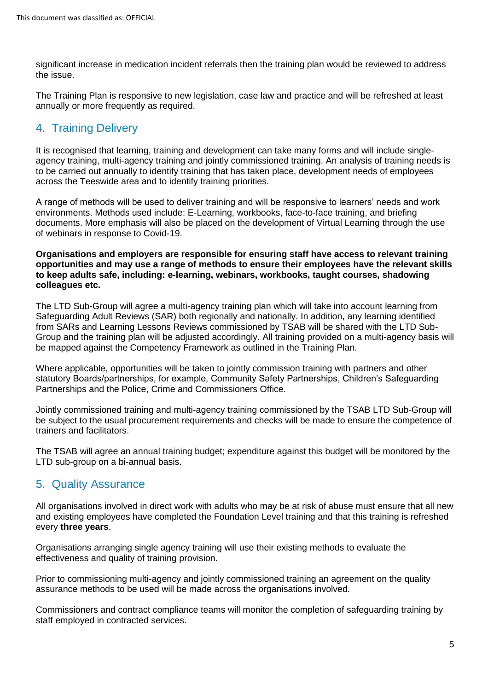significant increase in medication incident referrals then the training plan would be reviewed to address the issue.

The Training Plan is responsive to new legislation, case law and practice and will be refreshed at least annually or more frequently as required.

## <span id="page-4-0"></span>4. Training Delivery

It is recognised that learning, training and development can take many forms and will include singleagency training, multi-agency training and jointly commissioned training. An analysis of training needs is to be carried out annually to identify training that has taken place, development needs of employees across the Teeswide area and to identify training priorities.

A range of methods will be used to deliver training and will be responsive to learners' needs and work environments. Methods used include: E-Learning, workbooks, face-to-face training, and briefing documents. More emphasis will also be placed on the development of Virtual Learning through the use of webinars in response to Covid-19.

**Organisations and employers are responsible for ensuring staff have access to relevant training opportunities and may use a range of methods to ensure their employees have the relevant skills to keep adults safe, including: e-learning, webinars, workbooks, taught courses, shadowing colleagues etc.**

The LTD Sub-Group will agree a multi-agency training plan which will take into account learning from Safeguarding Adult Reviews (SAR) both regionally and nationally. In addition, any learning identified from SARs and Learning Lessons Reviews commissioned by TSAB will be shared with the LTD Sub-Group and the training plan will be adjusted accordingly. All training provided on a multi-agency basis will be mapped against the Competency Framework as outlined in the Training Plan.

Where applicable, opportunities will be taken to jointly commission training with partners and other statutory Boards/partnerships, for example, Community Safety Partnerships, Children's Safeguarding Partnerships and the Police, Crime and Commissioners Office.

Jointly commissioned training and multi-agency training commissioned by the TSAB LTD Sub-Group will be subject to the usual procurement requirements and checks will be made to ensure the competence of trainers and facilitators.

The TSAB will agree an annual training budget; expenditure against this budget will be monitored by the LTD sub-group on a bi-annual basis.

### <span id="page-4-1"></span>5. Quality Assurance

All organisations involved in direct work with adults who may be at risk of abuse must ensure that all new and existing employees have completed the Foundation Level training and that this training is refreshed every **three years**.

Organisations arranging single agency training will use their existing methods to evaluate the effectiveness and quality of training provision.

Prior to commissioning multi-agency and jointly commissioned training an agreement on the quality assurance methods to be used will be made across the organisations involved.

Commissioners and contract compliance teams will monitor the completion of safeguarding training by staff employed in contracted services.